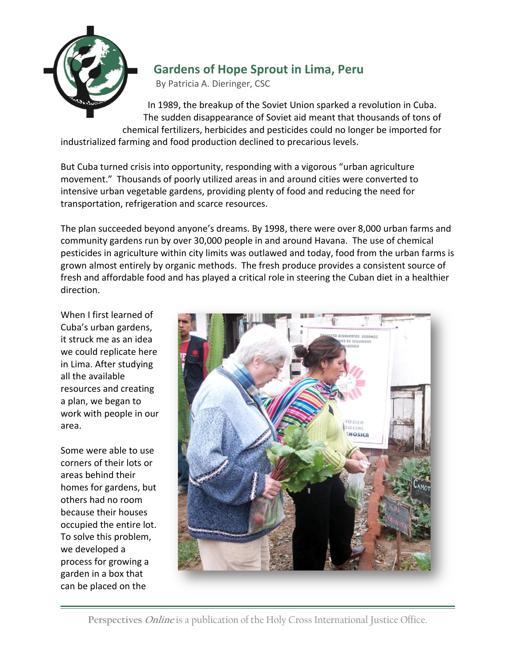

## **Gardens of Hope Sprout in Lima, Peru**

By Patricia A. Dieringer, CSC

In 1989, the breakup of the Soviet Union sparked a revolution in Cuba. The sudden disappearance of Soviet aid meant that thousands of tons of chemical fertilizers, herbicides and pesticides could no longer be imported for industrialized farming and food production declined to precarious levels.

But Cuba turned crisis into opportunity, responding with a vigorous "urban agriculture movement." Thousands of poorly utilized areas in and around cities were converted to intensive urban vegetable gardens, providing plenty of food and reducing the need for transportation, refrigeration and scarce resources.

The plan succeeded beyond anyone's dreams. By 1998, there were over 8,000 urban farms and community gardens run by over 30,000 people in and around Havana. The use of chemical pesticides in agriculture within city limits was outlawed and today, food from the urban farms is grown almost entirely by organic methods. The fresh produce provides a consistent source of fresh and affordable food and has played a critical role in steering the Cuban diet in a healthier direction.

When I first learned of Cuba's urban gardens, it struck me as an idea we could replicate here in Lima. After studying all the available resources and creating a plan, we began to work with people in our area.

Some were able to use corners of their lots or areas behind their homes for gardens, but others had no room because their houses occupied the entire lot. To solve this problem, we developed a process for growing a garden in a box that can be placed on the

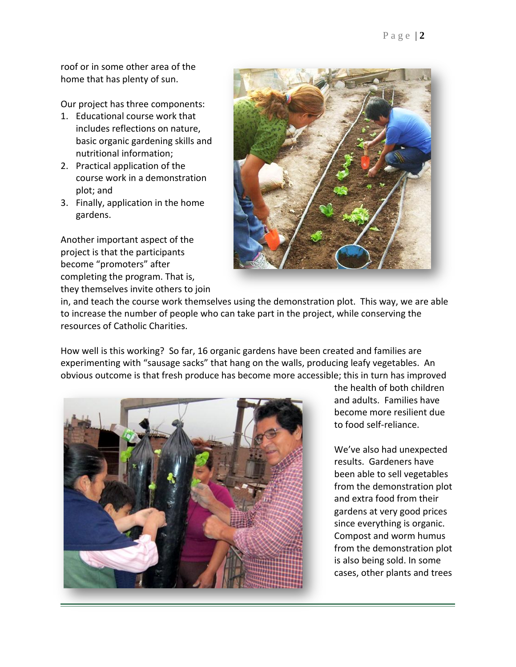roof or in some other area of the home that has plenty of sun.

Our project has three components:

- 1. Educational course work that includes reflections on nature, basic organic gardening skills and nutritional information;
- 2. Practical application of the course work in a demonstration plot; and
- 3. Finally, application in the home gardens.

Another important aspect of the project is that the participants become "promoters" after completing the program. That is, they themselves invite others to join



in, and teach the course work themselves using the demonstration plot. This way, we are able to increase the number of people who can take part in the project, while conserving the resources of Catholic Charities.

How well is this working? So far, 16 organic gardens have been created and families are experimenting with "sausage sacks" that hang on the walls, producing leafy vegetables. An obvious outcome is that fresh produce has become more accessible; this in turn has improved



the health of both children and adults. Families have become more resilient due to food self-reliance.

We've also had unexpected results. Gardeners have been able to sell vegetables from the demonstration plot and extra food from their gardens at very good prices since everything is organic. Compost and worm humus from the demonstration plot is also being sold. In some cases, other plants and trees